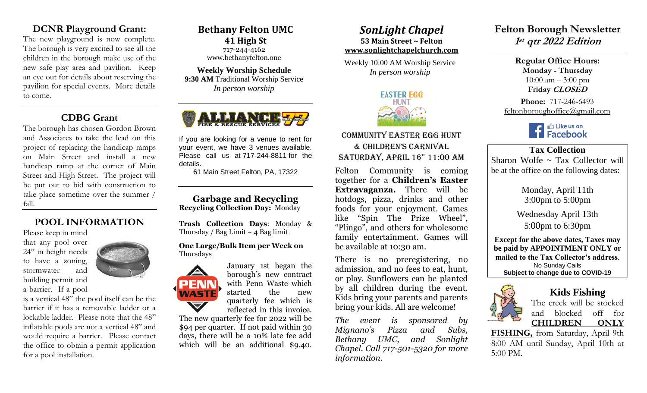## **DCNR Playground Grant:**

The new playground is now complete. The borough is very excited to see all the children in the borough make use of the new safe play area and pavilion. Keep an eye out for details about reserving the pavilion for special events. More details to come.

## **CDBG Grant**

The borough has chosen Gordon Brown and Associates to take the lead on this project of replacing the handicap ramps on Main Street and install a new handicap ramp at the corner of Main Street and High Street. The project will be put out to bid with construction to take place sometime over the summer / fall.

# **POOL INFORMATION**

Please keep in mind that any pool over 24" in height needs to have a zoning, stormwater and building permit and a barrier. If a pool

is a vertical 48" the pool itself can be the barrier if it has a removable ladder or a lockable ladder. Please note that the 48" inflatable pools are not a vertical 48" and would require a barrier. Please contact the office to obtain a permit application for a pool installation.

**Bethany Felton UMC 41 High St** 717-244-4162 [www.bethanyfelton.one](http://www.bethanyfelton.one/)

**Weekly Worship Schedule 9:30 AM** Traditional Worship Service *In person worship*



If you are looking for a venue to rent for your event, we have 3 venues available. Please call us at 717-244-8811 for the details.

61 Main Street Felton, PA, 17322

**Garbage and Recycling Recycling Collection Day:** Monday

**Trash Collection Days**: Monday & Thursday / Bag Limit  $\sim$  4 Bag limit

#### **One Large/Bulk Item per Week on**  Thursdays



January 1st began the borough's new contract with Penn Waste which started the new quarterly fee which is reflected in this invoice.

The new quarterly fee for 2022 will be \$94 per quarter. If not paid within 30 days, there will be a 10% late fee add which will be an additional \$9.40.

### *SonLight Chapel*  **53 Main Street ~ Felton**

**[www.sonlightchapelchurch.com](http://www.sonlightchapelchurch.com/)**

Weekly 10:00 AM Worship Service *In person worship*



Community Easter Egg Hunt & Children's Carnival SATURDAY, APRIL  $16<sup>th</sup> 11:00$  AM

Felton Community is coming together for a **Children's Easter Extravaganza.** There will be hotdogs, pizza, drinks and other foods for your enjoyment. Games like "Spin The Prize Wheel", "Plingo", and others for wholesome family entertainment. Games will be available at 10:30 am.

There is no preregistering, no admission, and no fees to eat, hunt, or play. Sunflowers can be planted by all children during the event. Kids bring your parents and parents bring your kids. All are welcome!

*The event is sponsored by Mignano's Pizza and Subs, Bethany UMC, and Sonlight Chapel. Call 717-501-5320 for more information.* 

**Felton Borough Newsletter 1 st qtr 2022 Edition** 

> **Regular Office Hours: Monday - Thursday**   $10:00$  am  $-3:00$  pm **Friday CLOSED**

**Phone:** 717-246-6493 feltonboroughoffice@gmail.com



**Tax Collection**  Sharon Wolfe ~ Tax Collector will be at the office on the following dates:

> Monday, April 11th 3:00pm to 5:00pm

Wednesday April 13th 5:00pm to 6:30pm

**Except for the above dates, Taxes may be paid by APPOINTMENT ONLY or mailed to the Tax Collector's address.** No Sunday Calls **Subject to change due to COVID-19**



# **Kids Fishing**

The creek will be stocked and blocked off for **CHILDREN ONLY** 

**FISHING,** from Saturday, April 9th 8:00 AM until Sunday, April 10th at 5:00 PM.